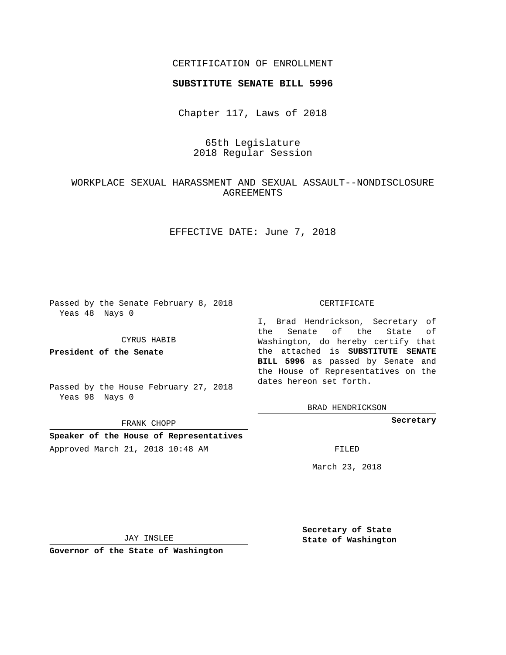## CERTIFICATION OF ENROLLMENT

## **SUBSTITUTE SENATE BILL 5996**

Chapter 117, Laws of 2018

# 65th Legislature 2018 Regular Session

## WORKPLACE SEXUAL HARASSMENT AND SEXUAL ASSAULT--NONDISCLOSURE AGREEMENTS

EFFECTIVE DATE: June 7, 2018

Passed by the Senate February 8, 2018 Yeas 48 Nays 0

CYRUS HABIB

**President of the Senate**

Passed by the House February 27, 2018 Yeas 98 Nays 0

FRANK CHOPP

**Speaker of the House of Representatives** Approved March 21, 2018 10:48 AM FILED

#### CERTIFICATE

I, Brad Hendrickson, Secretary of the Senate of the State of Washington, do hereby certify that the attached is **SUBSTITUTE SENATE BILL 5996** as passed by Senate and the House of Representatives on the dates hereon set forth.

BRAD HENDRICKSON

**Secretary**

March 23, 2018

JAY INSLEE

**Governor of the State of Washington**

**Secretary of State State of Washington**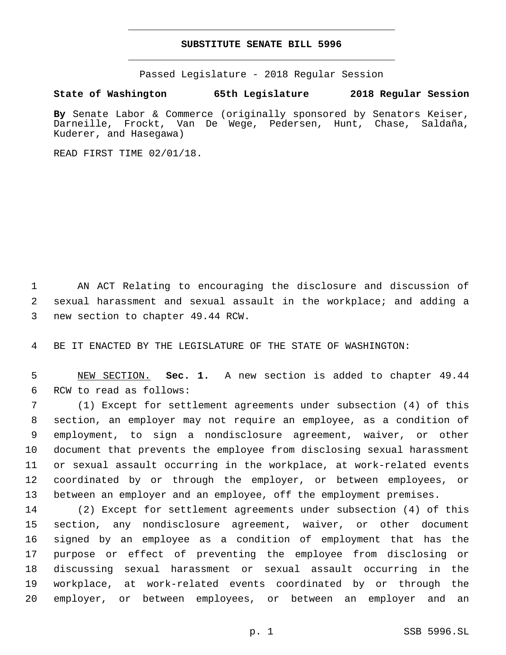## **SUBSTITUTE SENATE BILL 5996**

Passed Legislature - 2018 Regular Session

**State of Washington 65th Legislature 2018 Regular Session**

**By** Senate Labor & Commerce (originally sponsored by Senators Keiser, Darneille, Frockt, Van De Wege, Pedersen, Hunt, Chase, Saldaña, Kuderer, and Hasegawa)

READ FIRST TIME 02/01/18.

 AN ACT Relating to encouraging the disclosure and discussion of sexual harassment and sexual assault in the workplace; and adding a 3 new section to chapter 49.44 RCW.

BE IT ENACTED BY THE LEGISLATURE OF THE STATE OF WASHINGTON:

 NEW SECTION. **Sec. 1.** A new section is added to chapter 49.44 6 RCW to read as follows:

 (1) Except for settlement agreements under subsection (4) of this section, an employer may not require an employee, as a condition of employment, to sign a nondisclosure agreement, waiver, or other document that prevents the employee from disclosing sexual harassment or sexual assault occurring in the workplace, at work-related events coordinated by or through the employer, or between employees, or between an employer and an employee, off the employment premises.

 (2) Except for settlement agreements under subsection (4) of this section, any nondisclosure agreement, waiver, or other document signed by an employee as a condition of employment that has the purpose or effect of preventing the employee from disclosing or discussing sexual harassment or sexual assault occurring in the workplace, at work-related events coordinated by or through the employer, or between employees, or between an employer and an